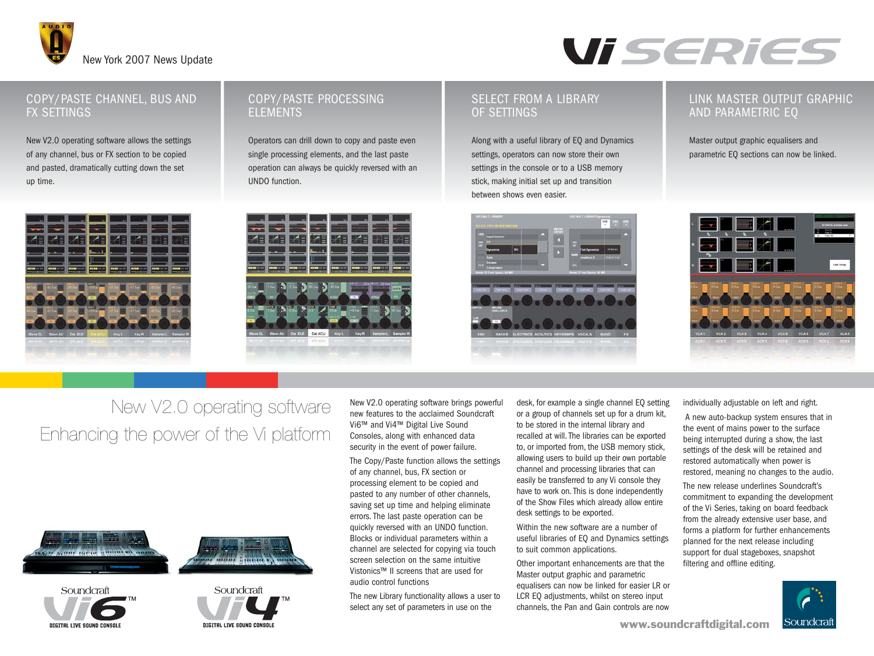



#### COPY/PASTE CHANNEL, BUS AND FX SETTINGS

New V2.0 operating software allows the settings of any channel, bus or FX section to be copied and pasted, dramatically cutting down the set up time.



### COPY/PASTE PROCESSING ELEMENTS

Operators can drill down to copy and paste even single processing elements, and the last paste operation can always be quickly reversed with an UNDO function.

#### SELECT FROM A LIBRARY OF SETTINGS

Along with a useful library of EQ and Dynamics settings, operators can now store their own settings in the console or to a USB memory stick, making initial set up and transition between shows even easier.



#### LINK MASTER OUTPUT GRAPHIC AND PARAMETRIC EQ

Master output graphic equalisers and parametric EQ sections can now be linked.



### New V2.0 operating software Enhancing the power of the Vi platform









New V2.0 operating software brings powerful new features to the acclaimed Soundcraft Vi6™ and Vi4™ Digital Live Sound Consoles, along with enhanced data security in the event of power failure.

The Copy/Paste function allows the settings of any channel, bus, FX section or processing element to be copied and pasted to any number of other channels, saving set up time and helping eliminate errors. The last paste operation can be quickly reversed with an UNDO function. Blocks or individual parameters within a channel are selected for copying via touch screen selection on the same intuitive Vistonics™ II screens that are used for audio control functions

The new Library functionality allows a user to select any set of parameters in use on the

desk, for example a single channel EQ setting or a group of channels set up for a drum kit, to be stored in the internal library and recalled at will. The libraries can be exported to, or imported from, the USB memory stick, allowing users to build up their own portable channel and processing libraries that can easily be transferred to any Vi console they have to work on. This is done independently of the Show Files which already allow entire desk settings to be exported.

Within the new software are a number of useful libraries of EQ and Dynamics settings to suit common applications.

Other important enhancements are that the Master output graphic and parametric equalisers can now be linked for easier LR or LCR EQ adjustments, whilst on stereo input channels, the Pan and Gain controls are now individually adjustable on left and right.

A new auto-backup system ensures that in the event of mains power to the surface being interrupted during a show, the last settings of the desk will be retained and restored automatically when power is restored, meaning no changes to the audio.

The new release underlines Soundcraft's commitment to expanding the development of the Vi Series, taking on board feedback from the already extensive user base, and forms a platform for further enhancements planned for the next release including support for dual stageboxes, snapshot filtering and offline editing.